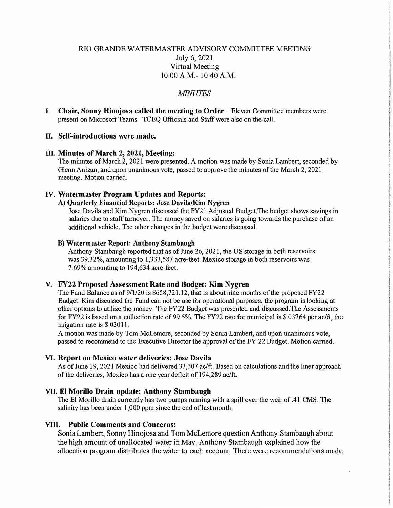# RIO GRANDE WA TERMASTER ADVISORY COMMITTEE MEETING July 6, 2021 Virtual Meeting 10:00 A.M.- 10:40 A.M.

### *MINUTES*

I. **Chair, Sonny Hinojosa called the meeting to Order.** Eleven Committee members were present on Microsoft Teams. TCEQ Officials and Staff were also on the call.

#### **II. Self-introductions were made.**

#### **III. Minutes of March 2, 2021, Meeting:**

The minutes of March 2, 2021 were presented. A motion was made by Sonia Lambert, seconded by Glenn Anizan, and upon unanimous vote, passed to approve the minutes of the March 2, 2021 meeting. Motion carried.

### **IV. Watermaster Program Updates and Reports:**

# **A) Quarterly Financial Reports: Jose Davila/Kim Nygren**

Jose Davila and Kim Nygren discussed the FY21 Adjusted Budget.The budget shows savings in salaries due to staff turnover. The money saved on salaries is going towards the purchase of an additional vehicle. The other changes in the budget were discussed.

#### **B) Watermaster Report: Anthony Stambaugh**

Anthony Stambaugh reported that as of June 26, 2021, the US storage **in** both reservoirs was 39.32%, amounting to 1,333,587 acre-feet. Mexico storage **in** both reservoirs was 7.69% ainounting to 194,634 acre-feet.

#### **V. FY22 Proposed Assessment Rate and Budget: Kim Nygren**

The Fund Balance as of 9/1/20 is \$658,721.12, that is about nine months of the proposed FY22 Budget. Kim discussed the Fund can not be use for operational purposes, the program is looking at other options to utilize the money. The FY22 Budget was presented and discussed.The Assessments for FY22 is based on a collection rate of 99.5%. The FY22 rate for municipal is \$.03764 per ac/ft, the irrigation rate is \$.03011.

A motion was made by Tom McLemore, seconded by Sonia Lambert, and upon unanimous vote, passed to recommend to the Executive Director the approval of the FY 22 Budget. Motion carried.

#### **VI. Report on Mexico water deliveries: Jose Davila**

As of June 19, 2021 Mexico had delivered 33,307 ac/ft. Based on calculations and the liner approac h of the deliveries, Mexico has a one year deficit of 194,289 ac/ft.

#### **VII. El Morillo Drain update: Anthony Stambaugh**

The El Morillo drain currently has two pumps running with a spill over the weir of .41 CMS. The salinity has been under 1,000 ppm since the end of last month.

# **VIII. Public Comments and Concerns:**

Sonia Lambert, Sonny Hinojosa and Tom McLemore question Anthony Stambaugh about the high amount of unallocated water in May. Anthony Stambaugh explained how the allocation program distributes the water to each account. There were recommendations made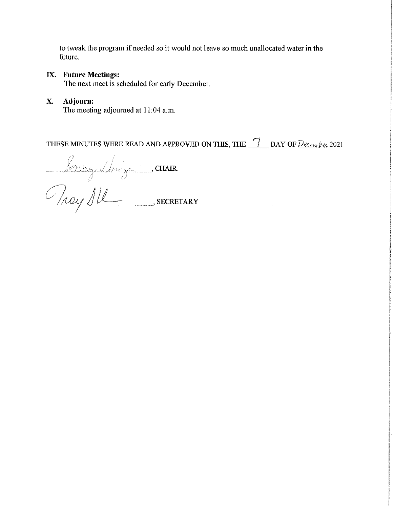to tweak the program if needed so it would not leave so much unallocated water in the future.

# IX. **Future Meetings:**

The next meet is scheduled for early December.

## **X. Adjourn:**

The meeting adjourned at 11:04 a.m.

THESE MINUTES WERE READ AND APPROVED ON THIS, THE **7** DAY OF  $Dec_{\ell m} y_{\ell G} 2021$ 

bonney Sing CHAIR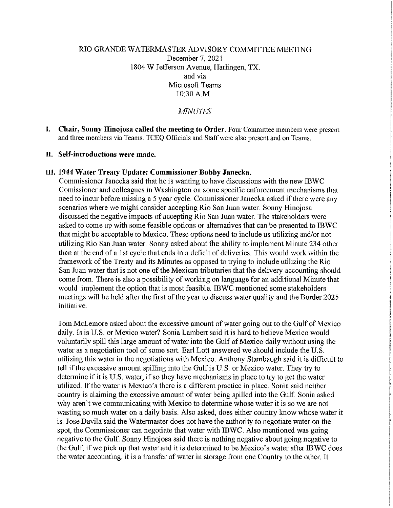# RIO GRANDE WATERMASTER ADVISORY COMMITTEE MEETING December 7, 2021 1804 W Jefferson Avenue, Harlingen, TX. and via Microsoft Teams 10:30 A.M

*MINUTES* 

**I. Chair, Sonny Hinojosa called the meeting to Order.** Four Committee members were present and three members via Teams. TCEQ Officials and Staff were also present and on Teams.

#### **II. Self-introductions were made.**

#### **III. 1944 Water Treaty Update: Commissioner Bobby Janecka.**

Commissioner Janecka said that he is wanting to have discussions with the new IBWC Comissioner and colleagues in Washington on some specific enforcement mechanisms that need to incur before missing a 5 year cycle. Commissioner Janecka asked if there were any scenarios where we might consider accepting Rio San Juan water. Sonny Hinojosa discussed the negative impacts of accepting Rio San Juan water. The stakeholders were asked to come up with some feasible options or alternatives that can be presented to IBWC that might be acceptable to Mexico. These options need to include us utilizing and/or not utilizing Rio San Juan water. Sonny asked about the ability to implement Minute 234 other than at the end of a 1st cycle that ends in a deficit of deliveries. This would work within the framework of the Treaty and its Minutes as opposed to trying to include utilizing the Rio San Juan water that is not one of the Mexican tributaries that the delivery accounting should come from. There is also a possibility of working on language for an additional Minute that would implement the option that is most feasible. IBWC mentioned some stakeholders meetings will be held after the first of the year to discuss water quality and the Border 2025 initiative.

Tom McLemore asked about the excessive amount of water going out to the Gulf of Mexico daily. Is is U.S. or Mexico water? Sonia Lambert said it is hard to believe Mexico would voluntarily spill this large amount of water into the Gulf of Mexico daily without using the water as a negotiation tool of some sort. Earl Lott answered we should include the U.S. utilizing this water in the negotiations with Mexico. Anthony Stambaugh said it is difficult to tell if the excessive amount spilling into the Gulf is U.S. or Mexico water. They try to determine if it is U.S. water, if so they have mechanisms in place to try to get the water utilized. If the water is Mexico's there is a different practice in place. Sonia said neither country is claiming the excessive amount of water being spilled into the Gulf. Sonia asked why aren't we communicating with Mexico to determine whose water it is so we are not wasting so much water on a daily basis. Also asked, does either country know whose water it is. Jose Davila said the Watermaster does not have the authority to negotiate water on the spot, the Commissioner can negotiate that water with IBWC. Also mentioned was going negative to the Gulf. Sonny Hinojosa said there is nothing negative about going negative to the Gulf, if we pick up that water and it is determined to be Mexico's water after IBWC does the water accounting, it is a transfer of water in storage from one Country to the other. It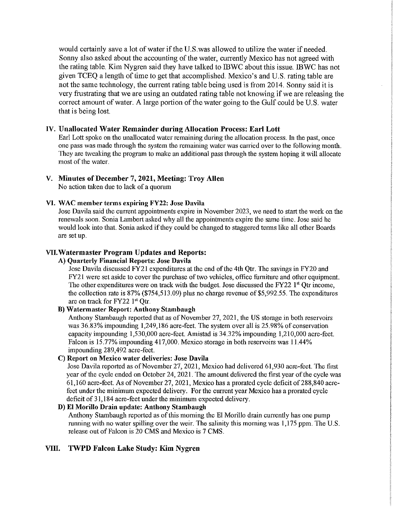would certainly save a lot of water if the U.S.was allowed to utilize the water if needed. Sonny also asked about the accounting of the water, currently Mexico has not agreed with the rating table. Kim Nygren said they have talked to IBWC about this issue. IBWC has not given TCEQ a length of time to get that accomplished. Mexico's and U.S. rating table are not the same technology, the current rating table being used is from 2014. Sonny said it is very frustrating that we are using an outdated rating table not knowing if we are releasing the correct amount of water. A large portion of the water going to the Gulf could be U.S. water that is being lost.

# **IV. Unallocated Water Remainder during Allocation Process: Earl Lott**

Earl Lott spoke on the unallocated water remaining during the allocation process. In the past, once one pass was made through the system the remaining water was carried over to the following month. 111ey are tweaking the program to make an additional pass through the system hoping it will allocate most of the water.

# **V. Minutes of December** 7, **2021, Meeting: Troy Allen**

No action taken due to lack of a quorum

# **VI. WAC member terms expiring FY22: Jose Davila**

Jose Davila said the current appointments expire in November 2023, we need to start the work on the renewals soon. Sonia Lambert asked why all the appointments expire the same time. Jose said he would look into that. Sonia asked if they could be changed to staggered terms like all other Boards are set up.

# **VII.Watermaster Program Updates and Reports:**

### **A) Quarterly Financial Reports: Jose Davila**

Jose Davila discussed FY2I expenditures at the end of the 4th Qtr. The savings in FY20 and FY2 I were set aside to cover the purchase of two vehicles, office furniture and other equipment. The other expenditures were on track with the budget. Jose discussed the FY22  $1<sup>st</sup>$  Qtr income, the collection rate is  $87\%$  (\$754,513.09) plus no charge revenue of \$5,992.55. The expenditures are on track for FY22  $1<sup>st</sup>$  Otr.

## **B) Watermaster Report: Anthony Stambaugh**

Anthony Stambaugh reported that as of November 27, 2021, the US storage in both reservoirs was 36.83% impounding 1,249,186 acre-feet. The system over all is 25.98% of conservation capacity impounding 1,530,000 acre-feet. Amistad is 34.32% impounding 1,210,000 acre-feet. Falcon is 15.77% impounding 417,000. Mexico storage in both reservoirs was 11.44% impounding 289,492 acre-feet.

# **C) Report on Mexico water deliveries Jose Davila**

Jose Davila reported as of November 27, 2021, Mexico had delivered 61,930 acre-feet. The first year of the cycle ended on October 24, 2021. The amount delivered the first year of the cycle was 61,160 acre-feet. As of November 27, 2021, Mexico has a prorated cycle deficit of288,840 acrefeet under the minimum expected delivery. For the current year Mexico has a prorated cycle deficit of 31,184 acre-feet under the minimum expected delivery.

### **D) El Morillo Drain update: Anthony Stambaugh**

Anthony Stambaugh reported as of this morning the El Morillo drain currently has one pump running with no water spilling over the weir. The salinity this morning was 1,175 ppm. The U.S. release out of Falcon is 20 CMS and Mexico is 7 CMS.

# **VIII. TWPD Falcon Lake Study: Kim Nygren**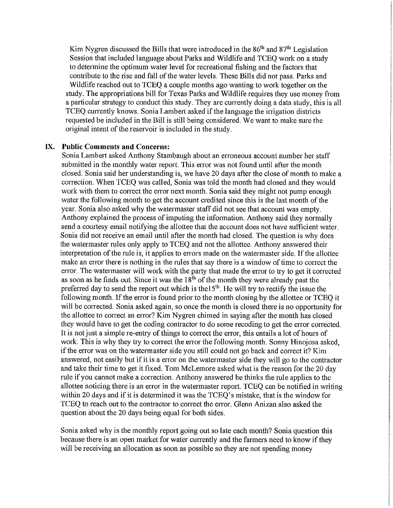Kim Nygren discussed the Bills that were introduced in the  $86<sup>th</sup>$  and  $87<sup>th</sup>$  Legislation Session that included language about Parks and Wildlife and TCEQ work on a study to determine the optimum water level for recreational fishing and the factors that contribute to the rise and fall of the water levels. These Bills did not pass. Parks and Wildlife reached out to TCEQ a couple months ago wanting to work together on the study. The appropriations bill for Texas Parks and Wildlife requires they use money from a particular strategy to conduct this study. They are currently doing a data study, this is all TCEQ currently knows. Sonia Lambert asked if the language the irrigation districts requested be included in the Bill is still being considered. We want to make sure the original intent of the reservoir is included in the study.

## **IX. Public Comments and Concerns:**

Sonia Lambert asked Anthony Stambaugh about an erroneous account number her staff submitted in the monthly water report. This error was not found until after the month closed. Sonia said her understanding is, we have 20 days after the close of month to make a correction. When TCEQ was called, Sonia was told the month had closed and they would work with them to correct the error next month. Sonia said they might not pump enough water the following month to get the account credited since this is the last month of the year. Sonia also asked why the watermaster staff did not see that account was empty. Anthony explained the process of imputing the information. Anthony said they normally send a courtesy email notifying the allottee that the account does not have sufficient water. Sonia did not receive an email until after the month had closed. The question is why does the watermaster rules only apply to TCEQ and not the allottee. Anthony answered their interpretation of the rule is, it applies to errors made on the watermaster side. If the allottee make an error there is nothing in the rules that say there is a window of time to correct the error. The watermaster will work with the party that made the error to try to get it corrected as soon as he finds out. Since it was the  $18<sup>th</sup>$  of the month they were already past the preferred day to send the report out which is the  $15<sup>th</sup>$ . He will try to rectify the issue the following month. If the error is found prior to the month closing by the allottee or TCEQ it will be corrected. Sonia asked again, so once the month is closed there is no opportunity for the allottee to correct an error? Kim Nygren chimed in saying after the month has closed they would have to get the coding contractor to do some recoding to get the error corrected. It is not just a simple re-entry of things to correct the error, this entails a lot of hours of work. This is why they try to correct the error the following month. Sonny Hinojosa asked, if the error was on the watermaster side you still could not go back and correct it? Kim answered, not easily but if it is a error on the watermaster side they will go to the contractor and take their time to get it fixed. Tom McLemore asked what is the reason for the 20 day rule if you cannot make a correction. Anthony answered he thinks the rule applies to the allottee noticing there is an error in the watermaster report. TCEQ can be notified in writing within 20 days and if it is determined it was the TCEQ's mistake, that is the window for TCEQ to reach out to the contractor to correct the error. Glenn Anizan also asked the question about the 20 days being equal for both sides.

Sonia asked why is the monthly report going out so late each month? Sonia question this because there is an open market for water currently and the farmers need to know if they will be receiving an allocation as soon as possible so they are not spending money